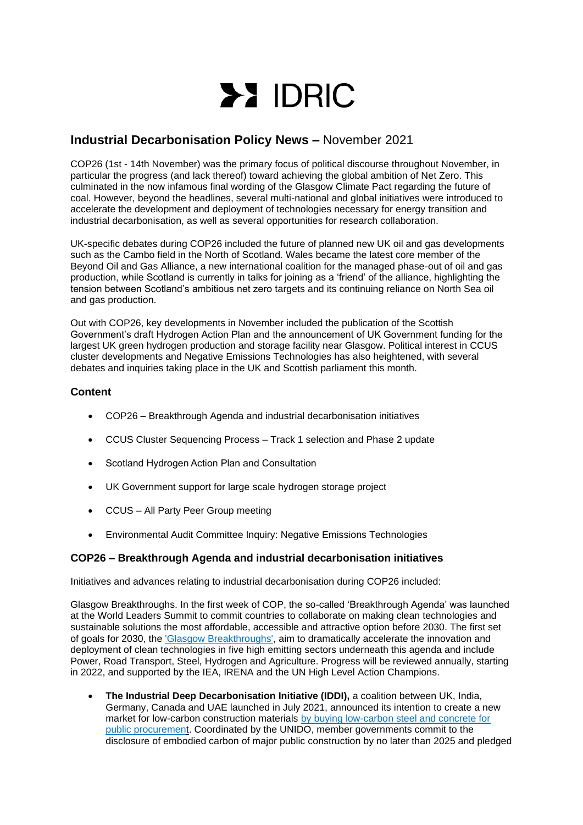

# **Industrial Decarbonisation Policy News –** November 2021

COP26 (1st - 14th November) was the primary focus of political discourse throughout November, in particular the progress (and lack thereof) toward achieving the global ambition of Net Zero. This culminated in the now infamous final wording of the Glasgow Climate Pact regarding the future of coal. However, beyond the headlines, several multi-national and global initiatives were introduced to accelerate the development and deployment of technologies necessary for energy transition and industrial decarbonisation, as well as several opportunities for research collaboration.

UK-specific debates during COP26 included the future of planned new UK oil and gas developments such as the Cambo field in the North of Scotland. Wales became the latest core member of the Beyond Oil and Gas Alliance, a new international coalition for the managed phase-out of oil and gas production, while Scotland is currently in talks for joining as a 'friend' of the alliance, highlighting the tension between Scotland's ambitious net zero targets and its continuing reliance on North Sea oil and gas production.

Out with COP26, key developments in November included the publication of the Scottish Government's draft Hydrogen Action Plan and the announcement of UK Government funding for the largest UK green hydrogen production and storage facility near Glasgow. Political interest in CCUS cluster developments and Negative Emissions Technologies has also heightened, with several debates and inquiries taking place in the UK and Scottish parliament this month.

## **Content**

- COP26 Breakthrough Agenda and industrial decarbonisation initiatives
- CCUS Cluster Sequencing Process Track 1 selection and Phase 2 update
- Scotland Hydrogen Action Plan and Consultation
- UK Government support for large scale hydrogen storage project
- CCUS All Party Peer Group meeting
- Environmental Audit Committee Inquiry: Negative Emissions Technologies

## **COP26 – Breakthrough Agenda and industrial decarbonisation initiatives**

Initiatives and advances relating to industrial decarbonisation during COP26 included:

Glasgow Breakthroughs. In the first week of COP, the so-called 'Breakthrough Agenda' was launched at the World Leaders Summit to commit countries to collaborate on making clean technologies and sustainable solutions the most affordable, accessible and attractive option before 2030. The first set of goals for 2030, the ['Glasgow Breakthroughs',](https://racetozero.unfccc.int/system/glasgow-breakthroughs/) aim to dramatically accelerate the innovation and deployment of clean technologies in five high emitting sectors underneath this agenda and include Power, Road Transport, Steel, Hydrogen and Agriculture. Progress will be reviewed annually, starting in 2022, and supported by the IEA, IRENA and the UN High Level Action Champions.

• **The Industrial Deep Decarbonisation Initiative (IDDI),** a coalition between UK, India, Germany, Canada and UAE launched in July 2021, announced its intention to create a new market for low-carbon construction materials [by buying low-carbon steel and concrete for](https://www.unido.org/news/unido-cop26-industrial-development-and-climate-change)  [public procurement.](https://www.unido.org/news/unido-cop26-industrial-development-and-climate-change) Coordinated by the UNIDO, member governments commit to the disclosure of embodied carbon of major public construction by no later than 2025 and pledged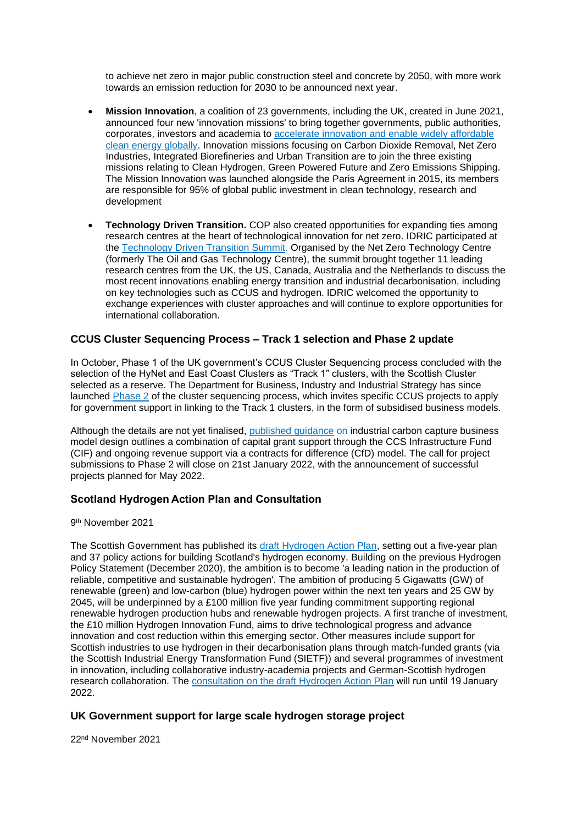to achieve net zero in major public construction steel and concrete by 2050, with more work towards an emission reduction for 2030 to be announced next year.

- **Mission Innovation**, a coalition of 23 governments, including the UK, created in June 2021, announced four new 'innovation missions' to bring together governments, public authorities, corporates, investors and academia to [accelerate innovation and enable widely affordable](http://mission-innovation.net/about-mi/overview/)  [clean energy globally.](http://mission-innovation.net/about-mi/overview/) Innovation missions focusing on Carbon Dioxide Removal, Net Zero Industries, Integrated Biorefineries and Urban Transition are to join the three existing missions relating to Clean Hydrogen, Green Powered Future and Zero Emissions Shipping. The Mission Innovation was launched alongside the Paris Agreement in 2015, its members are responsible for 95% of global public investment in clean technology, research and development
- **Technology Driven Transition.** COP also created opportunities for expanding ties among research centres at the heart of technological innovation for net zero. IDRIC participated at the [Technology Driven Transition Summit.](https://www.netzerotc.com/news-events/cop26/technology-driving-transition-global-summit/) Organised by the Net Zero Technology Centre (formerly The Oil and Gas Technology Centre), the summit brought together 11 leading research centres from the UK, the US, Canada, Australia and the Netherlands to discuss the most recent innovations enabling energy transition and industrial decarbonisation, including on key technologies such as CCUS and hydrogen. IDRIC welcomed the opportunity to exchange experiences with cluster approaches and will continue to explore opportunities for international collaboration.

## **CCUS Cluster Sequencing Process – Track 1 selection and Phase 2 update**

In October, Phase 1 of the UK government's CCUS Cluster Sequencing process concluded with the selection of the HyNet and East Coast Clusters as "Track 1" clusters, with the Scottish Cluster selected as a reserve. The Department for Business, Industry and Industrial Strategy has since launched [Phase 2](https://assets.publishing.service.gov.uk/government/uploads/system/uploads/attachment_data/file/1031856/ccus-phase-2-guidance.pdf) of the cluster sequencing process, which invites specific CCUS projects to apply for government support in linking to the Track 1 clusters, in the form of subsidised business models.

Although the details are not yet finalised, [published guidance](https://assets.publishing.service.gov.uk/government/uploads/system/uploads/attachment_data/file/1023095/icc-business-model-october-2021.pdf) on industrial carbon capture business model design outlines a combination of capital grant support through the CCS Infrastructure Fund (CIF) and ongoing revenue support via a contracts for difference (CfD) model. The call for project submissions to Phase 2 will close on 21st January 2022, with the announcement of successful projects planned for May 2022.

## **Scotland Hydrogen Action Plan and Consultation**

9 th November 2021

The Scottish Government has published its [draft Hydrogen Action Plan,](https://www.gov.scot/publications/draft-hydrogen-action-plan/) setting out a five-year plan and 37 policy actions for building Scotland's hydrogen economy. Building on the previous Hydrogen Policy Statement (December 2020), the ambition is to become 'a leading nation in the production of reliable, competitive and sustainable hydrogen'. The ambition of producing 5 Gigawatts (GW) of renewable (green) and low-carbon (blue) hydrogen power within the next ten years and 25 GW by 2045, will be underpinned by a £100 million five year funding commitment supporting regional renewable hydrogen production hubs and renewable hydrogen projects. A first tranche of investment, the £10 million Hydrogen Innovation Fund, aims to drive technological progress and advance innovation and cost reduction within this emerging sector. Other measures include support for Scottish industries to use hydrogen in their decarbonisation plans through match-funded grants (via the Scottish Industrial Energy Transformation Fund (SIETF)) and several programmes of investment in innovation, including collaborative industry-academia projects and German-Scottish hydrogen research collaboration. The [consultation on the draft Hydrogen Action Plan](https://consult.gov.scot/energy-and-climate-change-directorate/hydrogen-action-plan/) will run until 19 January 2022.

## **UK Government support for large scale hydrogen storage project**

22nd November 2021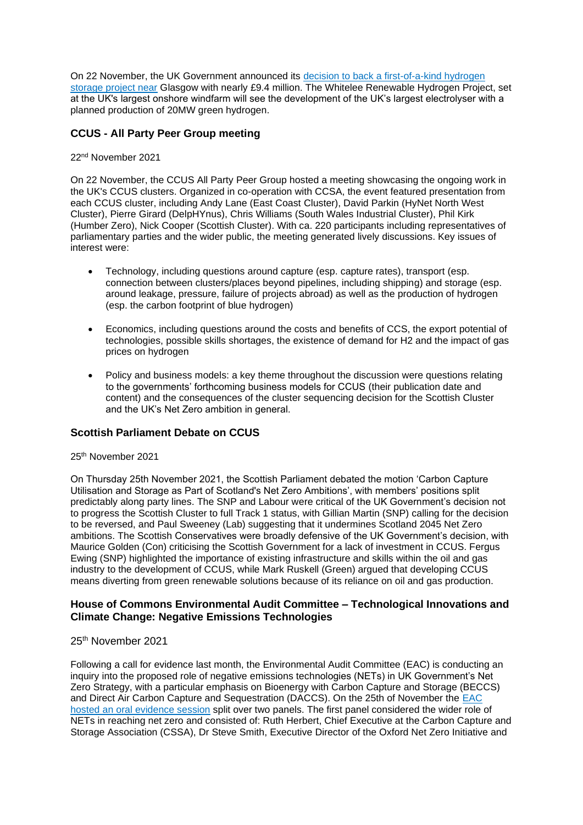On 22 November, the UK Government announced its [decision to back a first-of-a-kind hydrogen](https://www.gov.uk/government/news/glasgow-to-be-home-to-first-of-a-kind-hydrogen-storage-project)  [storage project near](https://www.gov.uk/government/news/glasgow-to-be-home-to-first-of-a-kind-hydrogen-storage-project) Glasgow with nearly £9.4 million. The Whitelee Renewable Hydrogen Project, set at the UK's largest onshore windfarm will see the development of the UK's largest electrolyser with a planned production of 20MW green hydrogen.

# **CCUS - All Party Peer Group meeting**

#### 22nd November 2021

On 22 November, the CCUS All Party Peer Group hosted a meeting showcasing the ongoing work in the UK's CCUS clusters. Organized in co-operation with CCSA, the event featured presentation from each CCUS cluster, including Andy Lane (East Coast Cluster), David Parkin (HyNet North West Cluster), Pierre Girard (DelpHYnus), Chris Williams (South Wales Industrial Cluster), Phil Kirk (Humber Zero), Nick Cooper (Scottish Cluster). With ca. 220 participants including representatives of parliamentary parties and the wider public, the meeting generated lively discussions. Key issues of interest were:

- Technology, including questions around capture (esp. capture rates), transport (esp. connection between clusters/places beyond pipelines, including shipping) and storage (esp. around leakage, pressure, failure of projects abroad) as well as the production of hydrogen (esp. the carbon footprint of blue hydrogen)
- Economics, including questions around the costs and benefits of CCS, the export potential of technologies, possible skills shortages, the existence of demand for H2 and the impact of gas prices on hydrogen
- Policy and business models: a key theme throughout the discussion were questions relating to the governments' forthcoming business models for CCUS (their publication date and content) and the consequences of the cluster sequencing decision for the Scottish Cluster and the UK's Net Zero ambition in general.

## **Scottish Parliament Debate on CCUS**

#### 25th November 2021

On Thursday 25th November 2021, the Scottish Parliament debated the motion 'Carbon Capture Utilisation and Storage as Part of Scotland's Net Zero Ambitions', with members' positions split predictably along party lines. The SNP and Labour were critical of the UK Government's decision not to progress the Scottish Cluster to full Track 1 status, with Gillian Martin (SNP) calling for the decision to be reversed, and Paul Sweeney (Lab) suggesting that it undermines Scotland 2045 Net Zero ambitions. The Scottish Conservatives were broadly defensive of the UK Government's decision, with Maurice Golden (Con) criticising the Scottish Government for a lack of investment in CCUS. Fergus Ewing (SNP) highlighted the importance of existing infrastructure and skills within the oil and gas industry to the development of CCUS, while Mark Ruskell (Green) argued that developing CCUS means diverting from green renewable solutions because of its reliance on oil and gas production.

#### **House of Commons Environmental Audit Committee – Technological Innovations and Climate Change: Negative Emissions Technologies**

#### 25th November 2021

Following a call for evidence last month, the Environmental Audit Committee (EAC) is conducting an inquiry into the proposed role of negative emissions technologies (NETs) in UK Government's Net Zero Strategy, with a particular emphasis on Bioenergy with Carbon Capture and Storage (BECCS) and Direct Air Carbon Capture and Sequestration (DACCS). On the 25th of November the EAC [hosted an oral evidence session](https://committees.parliament.uk/event/6396/formal-meeting-oral-evidence-session/) split over two panels. The first panel considered the wider role of NETs in reaching net zero and consisted of: Ruth Herbert, Chief Executive at the Carbon Capture and Storage Association (CSSA), Dr Steve Smith, Executive Director of the Oxford Net Zero Initiative and